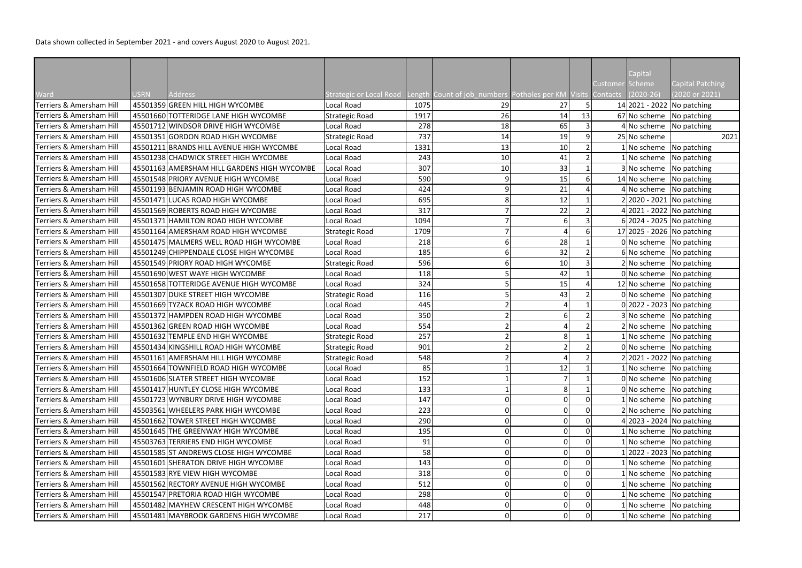|                                     |             |                                             |                       |      |                                                                                               |                |    |                 | Capital      |                              |
|-------------------------------------|-------------|---------------------------------------------|-----------------------|------|-----------------------------------------------------------------------------------------------|----------------|----|-----------------|--------------|------------------------------|
|                                     |             |                                             |                       |      |                                                                                               |                |    | Customer Scheme |              | Capital Patching             |
| Ward                                | <b>USRN</b> | <b>Address</b>                              |                       |      | Strategic or Local Road Length Count of job_numbers Potholes per KM Visits Contacts (2020-26) |                |    |                 |              | (2020 or 2021)               |
| Terriers & Amersham Hill            |             | 45501359 GREEN HILL HIGH WYCOMBE            | <b>Local Road</b>     | 1075 | 29                                                                                            | 27             |    |                 |              | 14 2021 - 2022 No patching   |
| Terriers & Amersham Hill            |             | 45501660 TOTTERIDGE LANE HIGH WYCOMBE       | <b>Strategic Road</b> | 1917 | 26                                                                                            | 14             | 13 |                 |              | 67 No scheme No patching     |
| Terriers & Amersham Hill            |             | 45501712 WINDSOR DRIVE HIGH WYCOMBE         | Local Road            | 278  | 18                                                                                            | 65             |    |                 |              | $4$ No scheme No patching    |
| Terriers & Amersham Hill            |             | 45501351 GORDON ROAD HIGH WYCOMBE           | <b>Strategic Road</b> | 737  | 14                                                                                            | 19             |    |                 | 25 No scheme | 2021                         |
| Terriers & Amersham Hill            |             | 45501211 BRANDS HILL AVENUE HIGH WYCOMBE    | Local Road            | 1331 | 13                                                                                            | 10             |    |                 |              | $1$ No scheme No patching    |
| Terriers & Amersham Hill            |             | 45501238 CHADWICK STREET HIGH WYCOMBE       | Local Road            | 243  | 10                                                                                            | 41             |    |                 |              | $1$ No scheme No patching    |
| Terriers & Amersham Hill            |             | 45501163 AMERSHAM HILL GARDENS HIGH WYCOMBE | Local Road            | 307  | 10                                                                                            | 33             |    |                 |              | 3 No scheme No patching      |
| Terriers & Amersham Hill            |             | 45501548 PRIORY AVENUE HIGH WYCOMBE         | Local Road            | 590  | 9                                                                                             | 15             |    |                 |              | 14 No scheme No patching     |
| Terriers & Amersham Hill            |             | 45501193 BENJAMIN ROAD HIGH WYCOMBE         | Local Road            | 424  |                                                                                               | 21             |    |                 |              | $4$ No scheme No patching    |
| <b>Terriers &amp; Amersham Hill</b> |             | 45501471 LUCAS ROAD HIGH WYCOMBE            | Local Road            | 695  |                                                                                               | 12             |    |                 |              | 2 2020 - 2021 No patching    |
| Terriers & Amersham Hill            |             | 45501569 ROBERTS ROAD HIGH WYCOMBE          | Local Road            | 317  |                                                                                               | 22             |    |                 |              | 4 2021 - 2022 No patching    |
| Terriers & Amersham Hill            |             | 45501371 HAMILTON ROAD HIGH WYCOMBE         | Local Road            | 1094 |                                                                                               | $6 \mid$       |    |                 |              | 6 2024 - 2025 No patching    |
| Terriers & Amersham Hill            |             | 45501164 AMERSHAM ROAD HIGH WYCOMBE         | <b>Strategic Road</b> | 1709 |                                                                                               |                |    |                 |              | 17 2025 - 2026 No patching   |
| <b>Terriers &amp; Amersham Hill</b> |             | 45501475 MALMERS WELL ROAD HIGH WYCOMBE     | Local Road            | 218  |                                                                                               | 28             |    |                 |              | 0 No scheme No patching      |
| <b>Terriers &amp; Amersham Hill</b> |             | 45501249 CHIPPENDALE CLOSE HIGH WYCOMBE     | Local Road            | 185  |                                                                                               | 32             |    |                 |              | 6 No scheme No patching      |
| Terriers & Amersham Hill            |             | 45501549 PRIORY ROAD HIGH WYCOMBE           | <b>Strategic Road</b> | 596  |                                                                                               | 10             |    |                 |              | 2 No scheme No patching      |
| Terriers & Amersham Hill            |             | 45501690 WEST WAYE HIGH WYCOMBE             | Local Road            | 118  |                                                                                               | 42             |    |                 |              | 0 No scheme No patching      |
| <b>Terriers &amp; Amersham Hill</b> |             | 45501658 TOTTERIDGE AVENUE HIGH WYCOMBE     | Local Road            | 324  |                                                                                               | 15             |    |                 |              | 12 No scheme No patching     |
| Terriers & Amersham Hill            |             | 45501307 DUKE STREET HIGH WYCOMBE           | <b>Strategic Road</b> | 116  |                                                                                               | 43             |    |                 |              | $0 $ No scheme   No patching |
| Terriers & Amersham Hill            |             | 45501669 TYZACK ROAD HIGH WYCOMBE           | Local Road            | 445  |                                                                                               |                |    |                 |              | $0 2022 - 2023 $ No patching |
| Terriers & Amersham Hill            |             | 45501372 HAMPDEN ROAD HIGH WYCOMBE          | Local Road            | 350  |                                                                                               | 6              |    |                 |              | 3 No scheme No patching      |
| Terriers & Amersham Hill            |             | 45501362 GREEN ROAD HIGH WYCOMBE            | Local Road            | 554  |                                                                                               |                |    |                 |              | 2 No scheme No patching      |
| <b>Terriers &amp; Amersham Hill</b> |             | 45501632 TEMPLE END HIGH WYCOMBE            | <b>Strategic Road</b> | 257  |                                                                                               | 8              |    |                 |              | 1 No scheme No patching      |
| <b>Terriers &amp; Amersham Hill</b> |             | 45501434 KINGSHILL ROAD HIGH WYCOMBE        | <b>Strategic Road</b> | 901  |                                                                                               |                |    |                 |              | $0 $ No scheme   No patching |
| Terriers & Amersham Hill            |             | 45501161 AMERSHAM HILL HIGH WYCOMBE         | <b>Strategic Road</b> | 548  |                                                                                               |                |    |                 |              | 2 2021 - 2022 No patching    |
| Terriers & Amersham Hill            |             | 45501664 TOWNFIELD ROAD HIGH WYCOMBE        | Local Road            | 85   |                                                                                               | 12             |    |                 |              | 1 No scheme No patching      |
| <b>Terriers &amp; Amersham Hill</b> |             | 45501606 SLATER STREET HIGH WYCOMBE         | Local Road            | 152  |                                                                                               | $\overline{7}$ |    |                 |              | 0 No scheme No patching      |
| <b>Terriers &amp; Amersham Hill</b> |             | 45501417 HUNTLEY CLOSE HIGH WYCOMBE         | Local Road            | 133  |                                                                                               | 8              |    |                 |              | 0 No scheme No patching      |
| Terriers & Amersham Hill            |             | 45501723 WYNBURY DRIVE HIGH WYCOMBE         | Local Road            | 147  |                                                                                               |                |    |                 |              | $1$ No scheme No patching    |
| <b>Terriers &amp; Amersham Hill</b> |             | 45503561 WHEELERS PARK HIGH WYCOMBE         | Local Road            | 223  |                                                                                               | $\Omega$       |    |                 |              | 2 No scheme No patching      |
| Terriers & Amersham Hill            |             | 45501662 TOWER STREET HIGH WYCOMBE          | Local Road            | 290  |                                                                                               |                |    |                 |              | 4 2023 - 2024 No patching    |
| Terriers & Amersham Hill            |             | 45501645 THE GREENWAY HIGH WYCOMBE          | Local Road            | 195  |                                                                                               | 0              |    |                 |              | 1 No scheme No patching      |
| Terriers & Amersham Hill            |             | 45503763 TERRIERS END HIGH WYCOMBE          | Local Road            | 91   |                                                                                               |                |    |                 |              | $1 $ No scheme   No patching |
| Terriers & Amersham Hill            |             | 45501585 ST ANDREWS CLOSE HIGH WYCOMBE      | Local Road            | 58   |                                                                                               | $\mathbf 0$    |    |                 |              | 1 2022 - 2023   No patching  |
| Terriers & Amersham Hill            |             | 45501601 SHERATON DRIVE HIGH WYCOMBE        | Local Road            | 143  |                                                                                               | 0              |    |                 |              | $1 $ No scheme   No patching |
| Terriers & Amersham Hill            |             | 45501583 RYE VIEW HIGH WYCOMBE              | Local Road            | 318  |                                                                                               | 0              |    |                 |              | $1$ No scheme No patching    |
| Terriers & Amersham Hill            |             | 45501562 RECTORY AVENUE HIGH WYCOMBE        | Local Road            | 512  |                                                                                               | 0              |    |                 |              | 1 No scheme No patching      |
| <b>Terriers &amp; Amersham Hill</b> |             | 45501547 PRETORIA ROAD HIGH WYCOMBE         | Local Road            | 298  |                                                                                               |                |    |                 |              | $1$ No scheme No patching    |
| Terriers & Amersham Hill            |             | 45501482 MAYHEW CRESCENT HIGH WYCOMBE       | Local Road            | 448  |                                                                                               | 0              |    |                 |              | 1 No scheme No patching      |
| Terriers & Amersham Hill            |             | 45501481 MAYBROOK GARDENS HIGH WYCOMBE      | Local Road            | 217  | 0                                                                                             | 0              |    |                 |              | 1 No scheme No patching      |
|                                     |             |                                             |                       |      |                                                                                               |                |    |                 |              |                              |